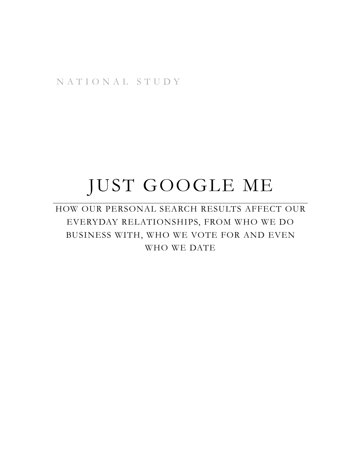NATIONAL STUDY

# JUST GOOGLE ME

HOW OUR PERSONAL SEARCH RESULTS AFFECT OUR EVERYDAY RELATIONSHIPS, FROM WHO WE DO BUSINESS WITH, WHO WE VOTE FOR AND EVEN WHO WE DATE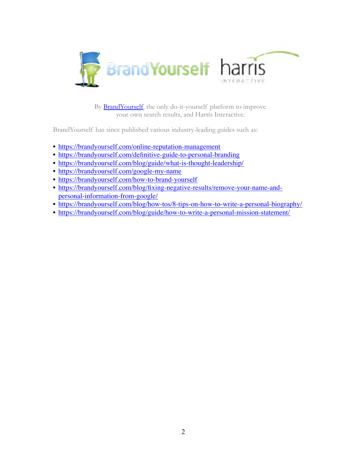

your own search results, and Harris Interactive.

BrandYourself has since published various industry-leading guides such as:

- <https://brandyourself.com/online-reputation-management>
- <https://brandyourself.com/definitive-guide-to-personal-branding>
- <https://brandyourself.com/blog/guide/what-is-thought-leadership/>
- <https://brandyourself.com/google-my-name>
- <https://brandyourself.com/how-to-brand-yourself>
- [https://brandyourself.com/blog/fixing-negative-results/remove-your-name-and](https://brandyourself.com/blog/fixing-negative-results/remove-your-name-and-personal-information-from-google/)[personal-information-from-google/](https://brandyourself.com/blog/fixing-negative-results/remove-your-name-and-personal-information-from-google/)
- <https://brandyourself.com/blog/how-tos/8-tips-on-how-to-write-a-personal-biography/>
- <https://brandyourself.com/blog/guide/how-to-write-a-personal-mission-statement/>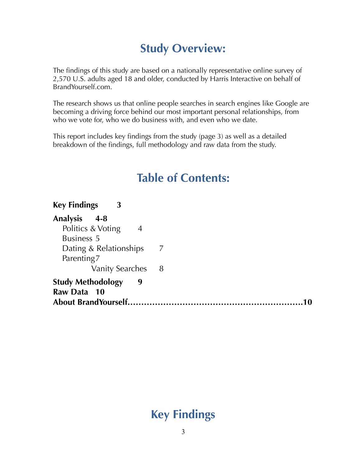# **Study Overview:**

The findings of this study are based on a nationally representative online survey of 2,570 U.S. adults aged 18 and older, conducted by Harris Interactive on behalf of BrandYourself.com.

The research shows us that online people searches in search engines like Google are becoming a driving force behind our most important personal relationships, from who we vote for, who we do business with, and even who we date.

This report includes key findings from the study (page 3) as well as a detailed breakdown of the findings, full methodology and raw data from the study.

# **Table of Contents:**

**Key Findings 3 Analysis 4-8**  Politics & Voting 4 Business 5 Dating & Relationships 7 Parenting 7 Vanity Searches 8 **Study Methodology 9 Raw Data 10 About BrandYourself……………………………………………………….10**

# **Key Findings**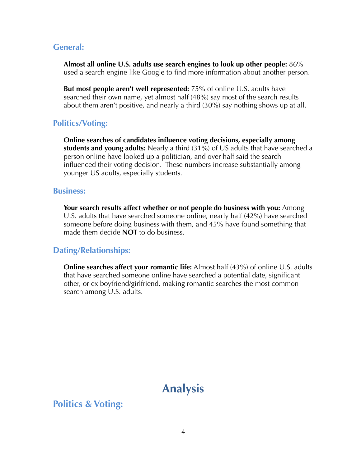### **General:**

**Almost all online U.S. adults use search engines to look up other people:** 86% used a search engine like Google to find more information about another person.

**But most people aren't well represented:** 75% of online U.S. adults have searched their own name, yet almost half (48%) say most of the search results about them aren't positive, and nearly a third (30%) say nothing shows up at all.

### **Politics/Voting:**

**Online searches of candidates influence voting decisions, especially among students and young adults:** Nearly a third (31%) of US adults that have searched a person online have looked up a politician, and over half said the search influenced their voting decision. These numbers increase substantially among younger US adults, especially students.

### **Business:**

**Your search results affect whether or not people do business with you:** Among U.S. adults that have searched someone online, nearly half (42%) have searched someone before doing business with them, and 45% have found something that made them decide **NOT** to do business.

### **Dating/Relationships:**

**Online searches affect your romantic life:** Almost half (43%) of online U.S. adults that have searched someone online have searched a potential date, significant other, or ex boyfriend/girlfriend, making romantic searches the most common search among U.S. adults.

# **Analysis**

**Politics & Voting:**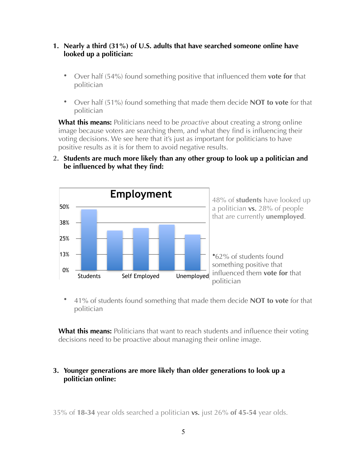### **1. Nearly a third (31%) of U.S. adults that have searched someone online have looked up a politician:**

- Over half (54%) found something positive that influenced them **vote for** that politician
- Over half (51%) found something that made them decide **NOT to vote** for that politician

**What this means:** Politicians need to be *proactive* about creating a strong online image because voters are searching them, and what they find is influencing their voting decisions. We see here that it's just as important for politicians to have positive results as it is for them to avoid negative results.

### **2. Students are much more likely than any other group to look up a politician and be influenced by what they find:**



• 41% of students found something that made them decide **NOT to vote** for that politician

**What this means:** Politicians that want to reach students and influence their voting decisions need to be proactive about managing their online image.

### **3. Younger generations are more likely than older generations to look up a politician online:**

35% of **18-34** year olds searched a politician vs. just 26% **of 45-54** year olds.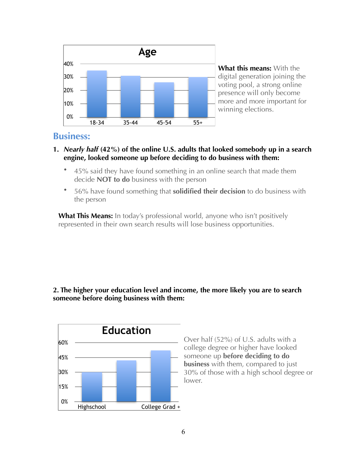

**What this means:** With the digital generation joining the voting pool, a strong online presence will only become more and more important for winning elections.

### **Business:**

- **1.** *Nearly half* **(42%) of the online U.S. adults that looked somebody up in a search engine, looked someone up before deciding to do business with them:**
	- 45% said they have found something in an online search that made them decide **NOT to do** business with the person
	- 56% have found something that **solidified their decision** to do business with the person

**What This Means:** In today's professional world, anyone who isn't positively represented in their own search results will lose business opportunities.

#### **2. The higher your education level and income, the more likely you are to search someone before doing business with them:**



Over half (52%) of U.S. adults with a college degree or higher have looked someone up **before deciding to do business** with them, compared to just 30% of those with a high school degree or lower.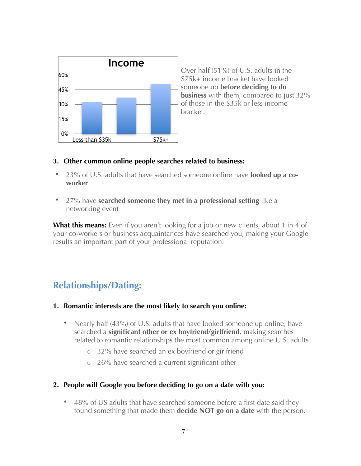

Over half (51%) of U.S. adults in the \$75k+ income bracket have looked someone up **before deciding to do business** with them, compared to just 32% of those in the \$35k or less income bracket.

### **3. Other common online people searches related to business:**

- 23% of U.S. adults that have searched someone online have **looked up a coworker**
- 27% have **searched someone they met in a professional setting** like a networking event

**What this means:** Even if you aren't looking for a job or new clients, about 1 in 4 of your co-workers or business acquaintances have searched you, making your Google results an important part of your professional reputation.

### **Relationships/Dating:**

### **1. Romantic interests are the most likely to search you online:**

- Nearly half (43%) of U.S. adults that have looked someone up online, have searched a **significant other or ex boyfriend/girlfriend**, making searches related to romantic relationships the most common among online U.S. adults
	- o 32% have searched an ex boyfriend or girlfriend
	- o 26% have searched a current significant other

### **2. People will Google you before deciding to go on a date with you:**

• 48% of US adults that have searched someone before a first date said they found something that made them **decide NOT go on a date** with the person.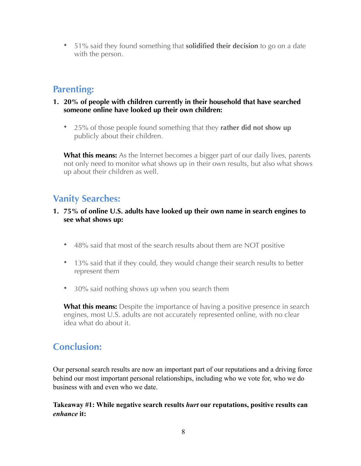• 51% said they found something that **solidified their decision** to go on a date with the person.

### **Parenting:**

- **1. 20% of people with children currently in their household that have searched someone online have looked up their own children:** 
	- 25% of those people found something that they **rather did not show up**  publicly about their children.

**What this means:** As the Internet becomes a bigger part of our daily lives, parents not only need to monitor what shows up in their own results, but also what shows up about their children as well.

### **Vanity Searches:**

### **1. 75% of online U.S. adults have looked up their own name in search engines to see what shows up:**

- 48% said that most of the search results about them are NOT positive
- 13% said that if they could, they would change their search results to better represent them
- 30% said nothing shows up when you search them

**What this means:** Despite the importance of having a positive presence in search engines, most U.S. adults are not accurately represented online, with no clear idea what do about it.

### **Conclusion:**

Our personal search results are now an important part of our reputations and a driving force behind our most important personal relationships, including who we vote for, who we do business with and even who we date.

### **Takeaway #1: While negative search results** *hurt* **our reputations, positive results can**  *enhance* **it:**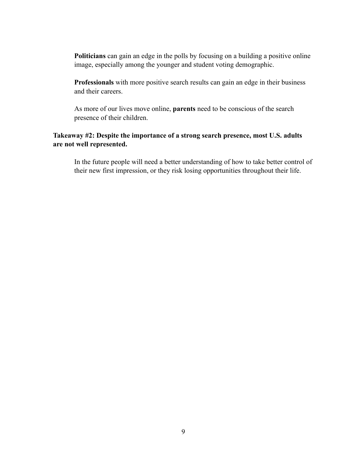**Politicians** can gain an edge in the polls by focusing on a building a positive online image, especially among the younger and student voting demographic.

**Professionals** with more positive search results can gain an edge in their business and their careers.

As more of our lives move online, **parents** need to be conscious of the search presence of their children.

#### **Takeaway #2: Despite the importance of a strong search presence, most U.S. adults are not well represented.**

In the future people will need a better understanding of how to take better control of their new first impression, or they risk losing opportunities throughout their life.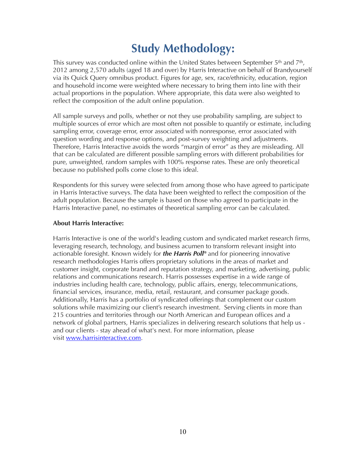# **Study Methodology:**

This survey was conducted online within the United States between September 5<sup>th</sup> and 7<sup>th</sup>, 2012 among 2,570 adults (aged 18 and over) by Harris Interactive on behalf of Brandyourself via its Quick Query omnibus product. Figures for age, sex, race/ethnicity, education, region and household income were weighted where necessary to bring them into line with their actual proportions in the population. Where appropriate, this data were also weighted to reflect the composition of the adult online population.

All sample surveys and polls, whether or not they use probability sampling, are subject to multiple sources of error which are most often not possible to quantify or estimate, including sampling error, coverage error, error associated with nonresponse, error associated with question wording and response options, and post-survey weighting and adjustments. Therefore, Harris Interactive avoids the words "margin of error" as they are misleading. All that can be calculated are different possible sampling errors with different probabilities for pure, unweighted, random samples with 100% response rates. These are only theoretical because no published polls come close to this ideal.

Respondents for this survey were selected from among those who have agreed to participate in Harris Interactive surveys. The data have been weighted to reflect the composition of the adult population. Because the sample is based on those who agreed to participate in the Harris Interactive panel, no estimates of theoretical sampling error can be calculated.

#### **About Harris Interactive:**

Harris Interactive is one of the world's leading custom and syndicated market research firms, leveraging research, technology, and business acumen to transform relevant insight into actionable foresight. Known widely for *the Harris Poll®* and for pioneering innovative research methodologies Harris offers proprietary solutions in the areas of market and customer insight, corporate brand and reputation strategy, and marketing, advertising, public relations and communications research. Harris possesses expertise in a wide range of industries including health care, technology, public affairs, energy, telecommunications, financial services, insurance, media, retail, restaurant, and consumer package goods. Additionally, Harris has a portfolio of syndicated offerings that complement our custom solutions while maximizing our client's research investment. Serving clients in more than 215 countries and territories through our North American and European offices and a network of global partners, Harris specializes in delivering research solutions that help us and our clients - stay ahead of what's next. For more information, please visit [www.harrisinteractive.com](http://www.harrisinteractive.com/).